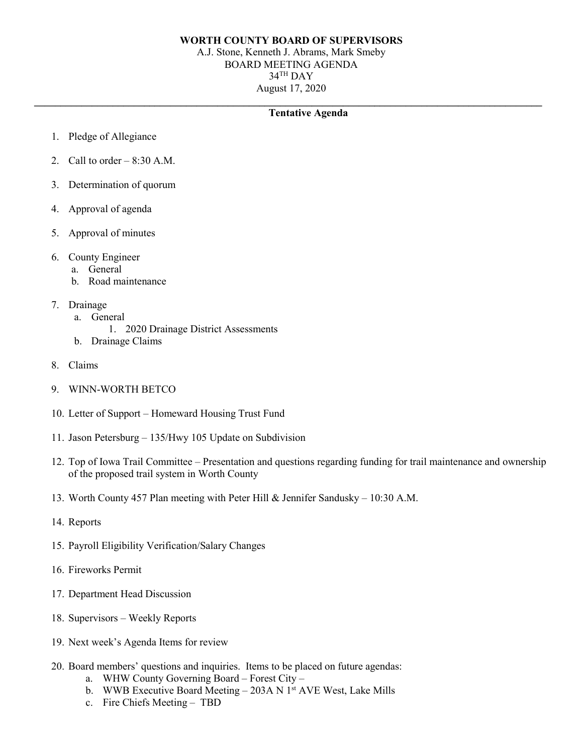## **WORTH COUNTY BOARD OF SUPERVISORS**

A.J. Stone, Kenneth J. Abrams, Mark Smeby BOARD MEETING AGENDA 34TH DAY August 17, 2020

## **\_\_\_\_\_\_\_\_\_\_\_\_\_\_\_\_\_\_\_\_\_\_\_\_\_\_\_\_\_\_\_\_\_\_\_\_\_\_\_\_\_\_\_\_\_\_\_\_\_\_\_\_\_\_\_\_\_\_\_\_\_\_\_\_\_\_\_\_\_\_\_\_\_\_\_\_\_\_\_\_\_\_\_\_\_\_\_\_\_\_\_\_\_\_\_\_\_ Tentative Agenda**

- 1. Pledge of Allegiance
- 2. Call to order  $-8:30$  A.M.
- 3. Determination of quorum
- 4. Approval of agenda
- 5. Approval of minutes
- 6. County Engineer
	- a. General
	- b. Road maintenance
- 7. Drainage
	- a. General
		- 1. 2020 Drainage District Assessments
	- b. Drainage Claims
- 8. Claims
- 9. WINN-WORTH BETCO
- 10. Letter of Support Homeward Housing Trust Fund
- 11. Jason Petersburg 135/Hwy 105 Update on Subdivision
- 12. Top of Iowa Trail Committee Presentation and questions regarding funding for trail maintenance and ownership of the proposed trail system in Worth County
- 13. Worth County 457 Plan meeting with Peter Hill & Jennifer Sandusky 10:30 A.M.
- 14. Reports
- 15. Payroll Eligibility Verification/Salary Changes
- 16. Fireworks Permit
- 17. Department Head Discussion
- 18. Supervisors Weekly Reports
- 19. Next week's Agenda Items for review
- 20. Board members' questions and inquiries. Items to be placed on future agendas:
	- a. WHW County Governing Board Forest City –
	- b. WWB Executive Board Meeting 203A N 1<sup>st</sup> AVE West, Lake Mills
	- c. Fire Chiefs Meeting TBD